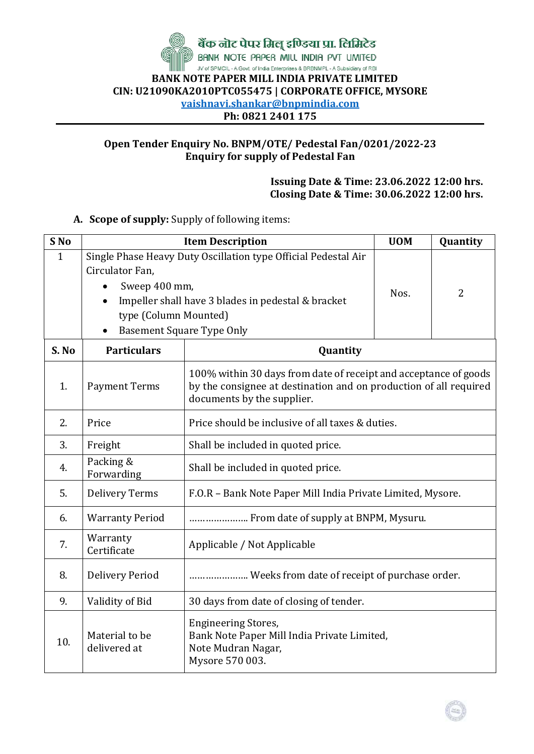

## **Open Tender Enquiry No. BNPM/OTE/ Pedestal Fan/0201/2022-23 Enquiry for supply of Pedestal Fan**

## **Issuing Date & Time: 23.06.2022 12:00 hrs. Closing Date & Time: 30.06.2022 12:00 hrs.**

## **A. Scope of supply:** Supply of following items:

| S <sub>No</sub> | <b>Item Description</b>                                                                                    | <b>UOM</b>                                                                                                                                                          | Quantity |                |  |
|-----------------|------------------------------------------------------------------------------------------------------------|---------------------------------------------------------------------------------------------------------------------------------------------------------------------|----------|----------------|--|
| $\mathbf{1}$    | Circulator Fan,<br>Sweep 400 mm,<br>type (Column Mounted)<br><b>Basement Square Type Only</b><br>$\bullet$ | Single Phase Heavy Duty Oscillation type Official Pedestal Air<br>Impeller shall have 3 blades in pedestal & bracket                                                | Nos.     | $\overline{2}$ |  |
| S. No           | <b>Particulars</b>                                                                                         | Quantity                                                                                                                                                            |          |                |  |
| 1.              | <b>Payment Terms</b>                                                                                       | 100% within 30 days from date of receipt and acceptance of goods<br>by the consignee at destination and on production of all required<br>documents by the supplier. |          |                |  |
| 2.              | Price                                                                                                      | Price should be inclusive of all taxes & duties.                                                                                                                    |          |                |  |
| 3.              | Freight                                                                                                    | Shall be included in quoted price.                                                                                                                                  |          |                |  |
| 4.              | Packing &<br>Forwarding                                                                                    | Shall be included in quoted price.                                                                                                                                  |          |                |  |
| 5.              | <b>Delivery Terms</b>                                                                                      | F.O.R - Bank Note Paper Mill India Private Limited, Mysore.                                                                                                         |          |                |  |
| 6.              | <b>Warranty Period</b>                                                                                     | From date of supply at BNPM, Mysuru.                                                                                                                                |          |                |  |
| 7.              | Warranty<br>Certificate                                                                                    | Applicable / Not Applicable                                                                                                                                         |          |                |  |
| 8.              | <b>Delivery Period</b>                                                                                     | Weeks from date of receipt of purchase order.                                                                                                                       |          |                |  |
| 9.              | Validity of Bid                                                                                            | 30 days from date of closing of tender.                                                                                                                             |          |                |  |
| 10.             | Material to be<br>delivered at                                                                             | <b>Engineering Stores,</b><br>Bank Note Paper Mill India Private Limited,<br>Note Mudran Nagar,<br>Mysore 570 003.                                                  |          |                |  |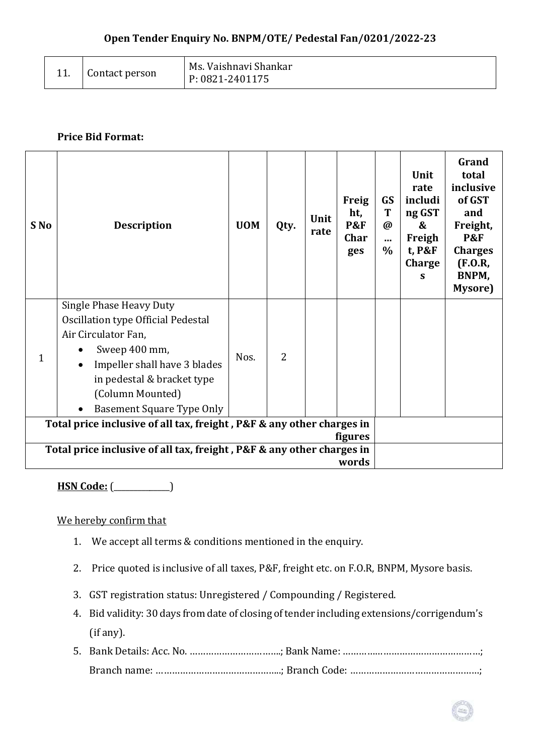|  | Contact person | Ms. Vaishnavi Shankar<br>P: 0821-2401175 |
|--|----------------|------------------------------------------|
|--|----------------|------------------------------------------|

## **Price Bid Format:**

| S <sub>No</sub>                                                                         | <b>Description</b>                                                                                                                                                                                                          | <b>UOM</b> | Qty.           | Unit<br>rate | <b>Freig</b><br>ht,<br><b>P&amp;F</b><br>Char<br>ges | <b>GS</b><br>T<br>$\omega$<br><br>$\%$ | Unit<br>rate<br>includi<br>ng GST<br>&<br>Freigh<br>t, P&F<br>Charge<br>S | Grand<br>total<br>inclusive<br>of GST<br>and<br>Freight,<br><b>P&amp;F</b><br><b>Charges</b><br>(F.0.R,<br>BNPM,<br>Mysore) |
|-----------------------------------------------------------------------------------------|-----------------------------------------------------------------------------------------------------------------------------------------------------------------------------------------------------------------------------|------------|----------------|--------------|------------------------------------------------------|----------------------------------------|---------------------------------------------------------------------------|-----------------------------------------------------------------------------------------------------------------------------|
| 1                                                                                       | <b>Single Phase Heavy Duty</b><br>Oscillation type Official Pedestal<br>Air Circulator Fan,<br>Sweep 400 mm,<br>Impeller shall have 3 blades<br>in pedestal & bracket type<br>(Column Mounted)<br>Basement Square Type Only |            | $\overline{2}$ |              |                                                      |                                        |                                                                           |                                                                                                                             |
| Total price inclusive of all tax, freight, P&F & any other charges in<br><b>figures</b> |                                                                                                                                                                                                                             |            |                |              |                                                      |                                        |                                                                           |                                                                                                                             |
| Total price inclusive of all tax, freight, P&F & any other charges in<br>words          |                                                                                                                                                                                                                             |            |                |              |                                                      |                                        |                                                                           |                                                                                                                             |

**HSN Code:** (\_\_\_\_\_\_\_\_\_\_\_\_\_\_)

We hereby confirm that

- 1. We accept all terms & conditions mentioned in the enquiry.
- 2. Price quoted is inclusive of all taxes, P&F, freight etc. on F.O.R, BNPM, Mysore basis.
- 3. GST registration status: Unregistered / Compounding / Registered.
- 4. Bid validity: 30 days from date of closing of tender including extensions/corrigendum's (if any).
- 5. Bank Details: Acc. No. …………………………….; Bank Name: ……………………………………………; Branch name: ………………………………………..; Branch Code: …………………………………………;